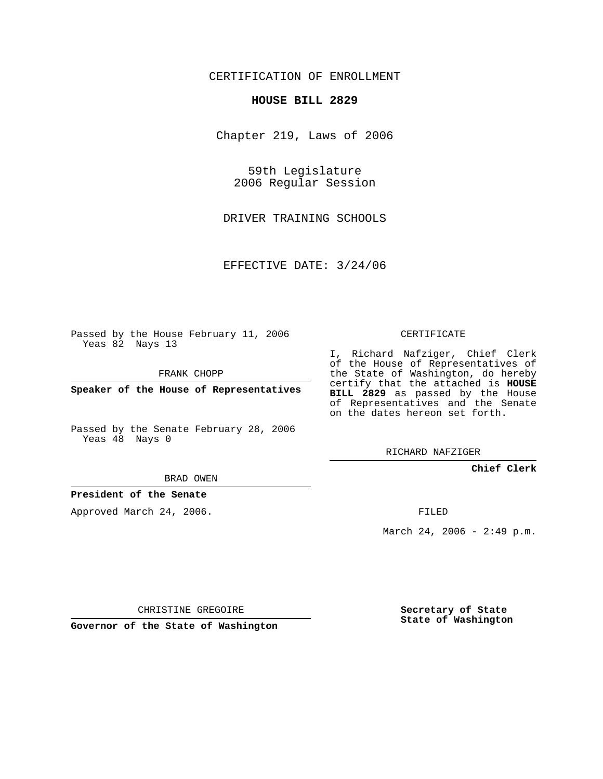### CERTIFICATION OF ENROLLMENT

#### **HOUSE BILL 2829**

Chapter 219, Laws of 2006

59th Legislature 2006 Regular Session

DRIVER TRAINING SCHOOLS

EFFECTIVE DATE: 3/24/06

Passed by the House February 11, 2006 Yeas 82 Nays 13

FRANK CHOPP

**Speaker of the House of Representatives**

Passed by the Senate February 28, 2006 Yeas 48 Nays 0

I, Richard Nafziger, Chief Clerk of the House of Representatives of the State of Washington, do hereby certify that the attached is **HOUSE BILL 2829** as passed by the House of Representatives and the Senate on the dates hereon set forth.

CERTIFICATE

RICHARD NAFZIGER

**Chief Clerk**

BRAD OWEN

**President of the Senate**

Approved March 24, 2006.

FILED

March 24, 2006 - 2:49 p.m.

CHRISTINE GREGOIRE

**Governor of the State of Washington**

**Secretary of State State of Washington**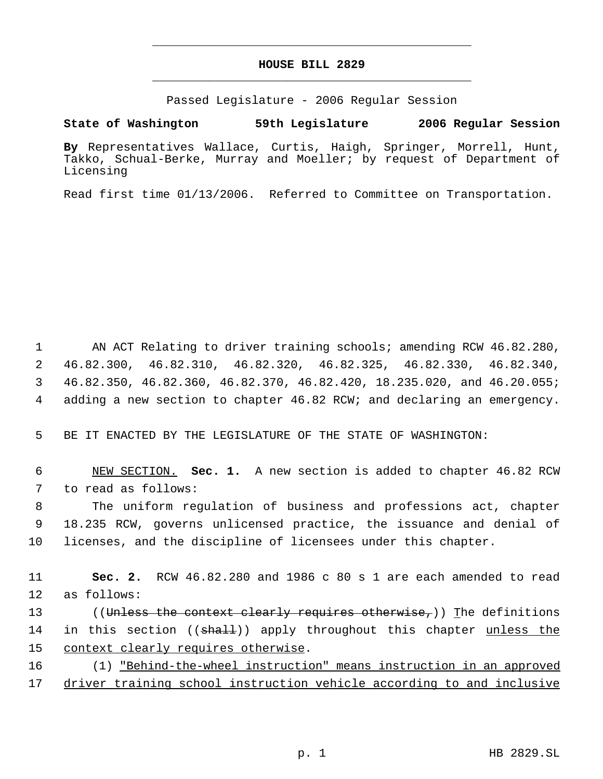## **HOUSE BILL 2829** \_\_\_\_\_\_\_\_\_\_\_\_\_\_\_\_\_\_\_\_\_\_\_\_\_\_\_\_\_\_\_\_\_\_\_\_\_\_\_\_\_\_\_\_\_

\_\_\_\_\_\_\_\_\_\_\_\_\_\_\_\_\_\_\_\_\_\_\_\_\_\_\_\_\_\_\_\_\_\_\_\_\_\_\_\_\_\_\_\_\_

Passed Legislature - 2006 Regular Session

**State of Washington 59th Legislature 2006 Regular Session**

**By** Representatives Wallace, Curtis, Haigh, Springer, Morrell, Hunt, Takko, Schual-Berke, Murray and Moeller; by request of Department of Licensing

Read first time 01/13/2006. Referred to Committee on Transportation.

 AN ACT Relating to driver training schools; amending RCW 46.82.280, 46.82.300, 46.82.310, 46.82.320, 46.82.325, 46.82.330, 46.82.340, 46.82.350, 46.82.360, 46.82.370, 46.82.420, 18.235.020, and 46.20.055; adding a new section to chapter 46.82 RCW; and declaring an emergency.

5 BE IT ENACTED BY THE LEGISLATURE OF THE STATE OF WASHINGTON:

 6 NEW SECTION. **Sec. 1.** A new section is added to chapter 46.82 RCW 7 to read as follows:

 8 The uniform regulation of business and professions act, chapter 9 18.235 RCW, governs unlicensed practice, the issuance and denial of 10 licenses, and the discipline of licensees under this chapter.

11 **Sec. 2.** RCW 46.82.280 and 1986 c 80 s 1 are each amended to read 12 as follows:

13 ((Unless the context clearly requires otherwise,)) The definitions 14 in this section ((<del>shall</del>)) apply throughout this chapter <u>unless the</u> 15 context clearly requires otherwise.

16 (1) "Behind-the-wheel instruction" means instruction in an approved 17 driver training school instruction vehicle according to and inclusive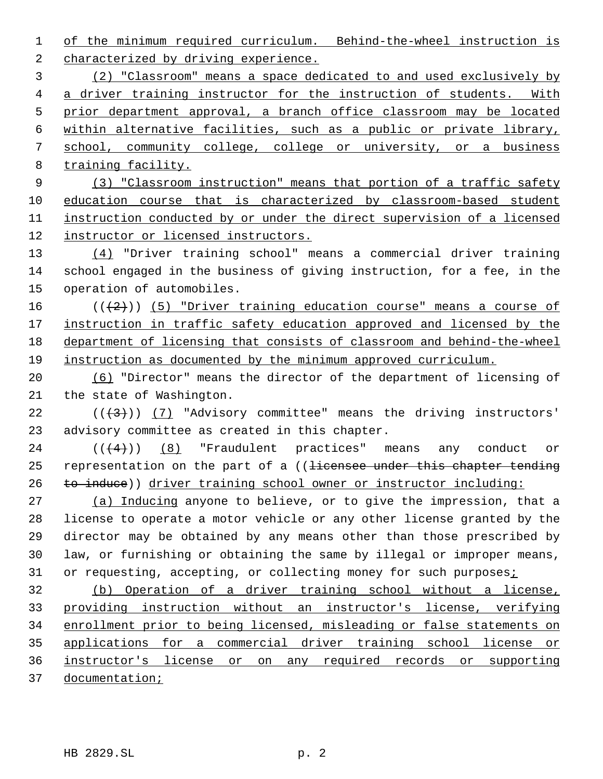of the minimum required curriculum. Behind-the-wheel instruction is characterized by driving experience. (2) "Classroom" means a space dedicated to and used exclusively by a driver training instructor for the instruction of students. With prior department approval, a branch office classroom may be located within alternative facilities, such as a public or private library, school, community college, college or university, or a business training facility. (3) "Classroom instruction" means that portion of a traffic safety education course that is characterized by classroom-based student instruction conducted by or under the direct supervision of a licensed instructor or licensed instructors. (4) "Driver training school" means a commercial driver training school engaged in the business of giving instruction, for a fee, in the operation of automobiles.  $((+2))$  (5) "Driver training education course" means a course of 17 instruction in traffic safety education approved and licensed by the department of licensing that consists of classroom and behind-the-wheel instruction as documented by the minimum approved curriculum. (6) "Director" means the director of the department of licensing of the state of Washington.  $((3+))$  (7) "Advisory committee" means the driving instructors' advisory committee as created in this chapter.  $((4))$  (8) "Fraudulent practices" means any conduct or 25 representation on the part of a ((<del>licensee under this chapter tending</del>

 (a) Inducing anyone to believe, or to give the impression, that a license to operate a motor vehicle or any other license granted by the director may be obtained by any means other than those prescribed by law, or furnishing or obtaining the same by illegal or improper means, 31 or requesting, accepting, or collecting money for such purposes*i* 

26 to induce)) driver training school owner or instructor including:

 (b) Operation of a driver training school without a license, providing instruction without an instructor's license, verifying enrollment prior to being licensed, misleading or false statements on applications for a commercial driver training school license or instructor's license or on any required records or supporting documentation;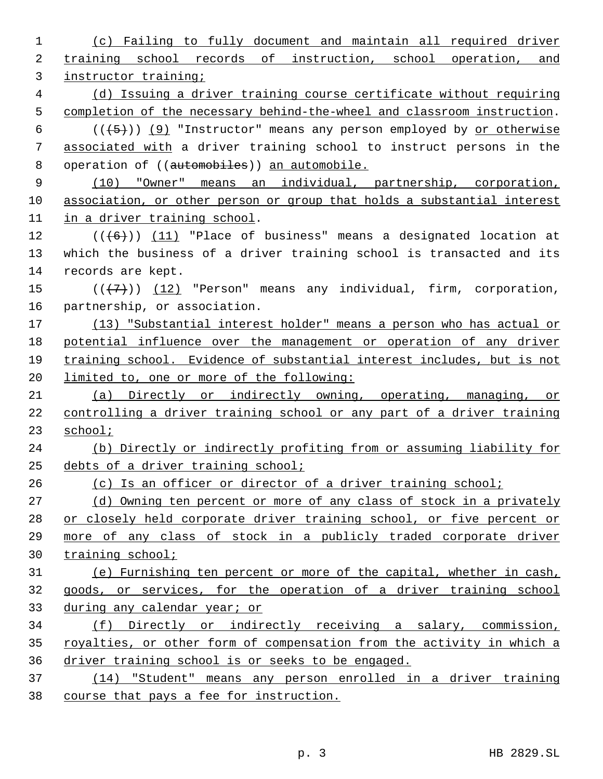| 1  | (c) Failing to fully document and maintain all required driver          |
|----|-------------------------------------------------------------------------|
| 2  | training school records of instruction, school operation, and           |
| 3  | instructor training;                                                    |
| 4  | (d) Issuing a driver training course certificate without requiring      |
| 5  | completion of the necessary behind-the-wheel and classroom instruction. |
| 6  | $((+5))$ (9) "Instructor" means any person employed by or otherwise     |
| 7  | associated with a driver training school to instruct persons in the     |
| 8  | operation of ((automobiles)) an automobile.                             |
| 9  | (10) "Owner" means an individual, partnership, corporation,             |
| 10 | association, or other person or group that holds a substantial interest |
| 11 | in a driver training school.                                            |
| 12 | $((+6))$ (11) "Place of business" means a designated location at        |
| 13 | which the business of a driver training school is transacted and its    |
| 14 | records are kept.                                                       |
| 15 | $((+7))$ (12) "Person" means any individual, firm, corporation,         |
| 16 | partnership, or association.                                            |
| 17 | (13) "Substantial interest holder" means a person who has actual or     |
| 18 | potential influence over the management or operation of any driver      |
| 19 | training school. Evidence of substantial interest includes, but is not  |
| 20 | limited to, one or more of the following:                               |
| 21 | (a) Directly or indirectly owning, operating, managing, or              |
| 22 | controlling a driver training school or any part of a driver training   |
| 23 | school;                                                                 |
| 24 | (b) Directly or indirectly profiting from or assuming liability for     |
| 25 | debts of a driver training school;                                      |
| 26 | (c) Is an officer or director of a driver training school;              |
| 27 | (d) Owning ten percent or more of any class of stock in a privately     |
| 28 | or closely held corporate driver training school, or five percent or    |
| 29 | more of any class of stock in a publicly traded corporate driver        |
| 30 | training school;                                                        |
| 31 | (e) Furnishing ten percent or more of the capital, whether in cash,     |
| 32 | goods, or services, for the operation of a driver training school       |
| 33 | during any calendar year; or                                            |
| 34 | (f) Directly or indirectly receiving a salary, commission,              |
| 35 | royalties, or other form of compensation from the activity in which a   |
| 36 | driver training school is or seeks to be engaged.                       |
| 37 | (14) "Student" means any person enrolled in a driver training           |
| 38 | course that pays a fee for instruction.                                 |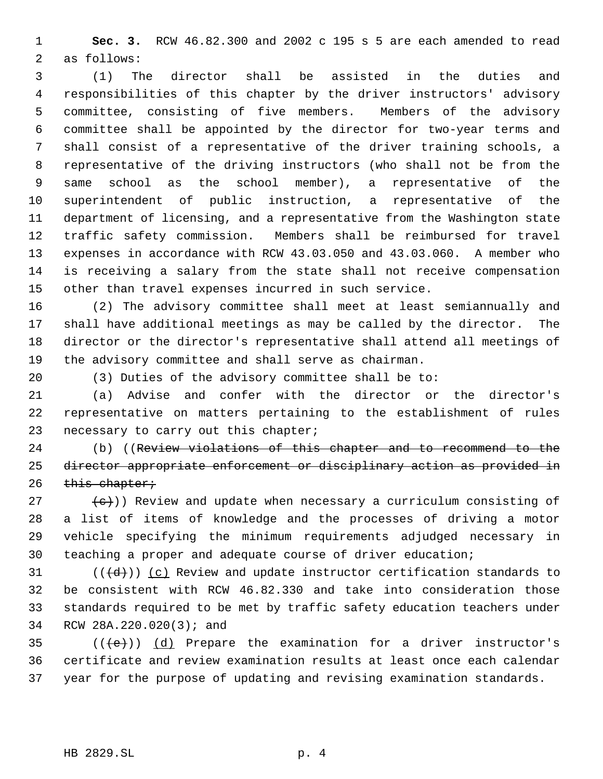**Sec. 3.** RCW 46.82.300 and 2002 c 195 s 5 are each amended to read as follows:

 (1) The director shall be assisted in the duties and responsibilities of this chapter by the driver instructors' advisory committee, consisting of five members. Members of the advisory committee shall be appointed by the director for two-year terms and shall consist of a representative of the driver training schools, a representative of the driving instructors (who shall not be from the same school as the school member), a representative of the superintendent of public instruction, a representative of the department of licensing, and a representative from the Washington state traffic safety commission. Members shall be reimbursed for travel expenses in accordance with RCW 43.03.050 and 43.03.060. A member who is receiving a salary from the state shall not receive compensation other than travel expenses incurred in such service.

 (2) The advisory committee shall meet at least semiannually and shall have additional meetings as may be called by the director. The director or the director's representative shall attend all meetings of the advisory committee and shall serve as chairman.

(3) Duties of the advisory committee shall be to:

 (a) Advise and confer with the director or the director's representative on matters pertaining to the establishment of rules 23 necessary to carry out this chapter;

 (b) ((Review violations of this chapter and to recommend to the director appropriate enforcement or disciplinary action as provided in this chapter;

 $\{\epsilon\}$ )) Review and update when necessary a curriculum consisting of a list of items of knowledge and the processes of driving a motor vehicle specifying the minimum requirements adjudged necessary in teaching a proper and adequate course of driver education;

31 ( $(\overline{d})$ ) (c) Review and update instructor certification standards to be consistent with RCW 46.82.330 and take into consideration those standards required to be met by traffic safety education teachers under RCW 28A.220.020(3); and

35  $((\text{+e})^2)(d)$  Prepare the examination for a driver instructor's certificate and review examination results at least once each calendar year for the purpose of updating and revising examination standards.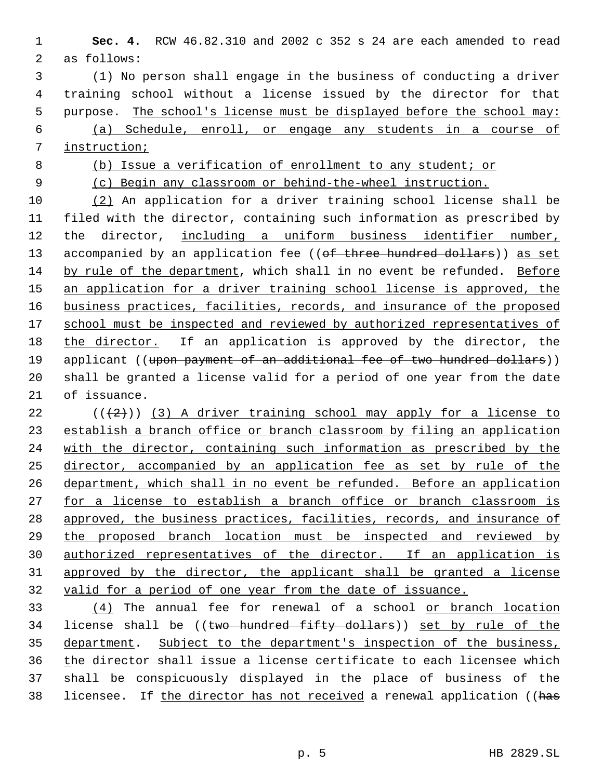**Sec. 4.** RCW 46.82.310 and 2002 c 352 s 24 are each amended to read as follows:

 (1) No person shall engage in the business of conducting a driver training school without a license issued by the director for that 5 purpose. The school's license must be displayed before the school may: (a) Schedule, enroll, or engage any students in a course of instruction;

(b) Issue a verification of enrollment to any student; or

(c) Begin any classroom or behind-the-wheel instruction.

 (2) An application for a driver training school license shall be filed with the director, containing such information as prescribed by 12 the director, including a uniform business identifier number, 13 accompanied by an application fee ((of three hundred dollars)) as set by rule of the department, which shall in no event be refunded. Before 15 an application for a driver training school license is approved, the business practices, facilities, records, and insurance of the proposed 17 school must be inspected and reviewed by authorized representatives of 18 the director. If an application is approved by the director, the 19 applicant ((upon payment of an additional fee of two hundred dollars)) shall be granted a license valid for a period of one year from the date of issuance.

22 ( $(\frac{1}{2})$ ) (3) A driver training school may apply for a license to establish a branch office or branch classroom by filing an application 24 with the director, containing such information as prescribed by the director, accompanied by an application fee as set by rule of the 26 department, which shall in no event be refunded. Before an application 27 for a license to establish a branch office or branch classroom is approved, the business practices, facilities, records, and insurance of the proposed branch location must be inspected and reviewed by authorized representatives of the director. If an application is approved by the director, the applicant shall be granted a license valid for a period of one year from the date of issuance.

 (4) The annual fee for renewal of a school or branch location 34 license shall be ((two hundred fifty dollars)) set by rule of the 35 department. Subject to the department's inspection of the business, the director shall issue a license certificate to each licensee which shall be conspicuously displayed in the place of business of the 38 licensee. If the director has not received a renewal application ((has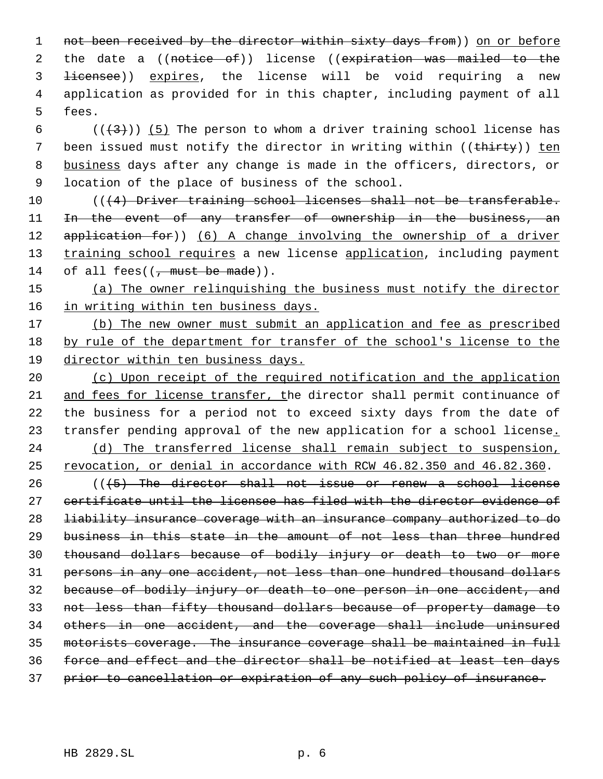1 not been received by the director within sixty days from)) on or before 2 the date a ((notice of)) license ((expiration was mailed to the licensee)) expires, the license will be void requiring a new application as provided for in this chapter, including payment of all fees.

6 ( $(\frac{1}{3})$ ) (5) The person to whom a driver training school license has 7 been issued must notify the director in writing within ((thirty)) ten business days after any change is made in the officers, directors, or location of the place of business of the school.

 $((4)$  Driver training school licenses shall not be transferable. 11 In the event of any transfer of ownership in the business, an 12 application for)) (6) A change involving the ownership of a driver 13 training school requires a new license application, including payment 14 of all fees( $(\frac{1}{2})$  must be made)).

 (a) The owner relinquishing the business must notify the director 16 in writing within ten business days.

17 (b) The new owner must submit an application and fee as prescribed by rule of the department for transfer of the school's license to the director within ten business days.

 (c) Upon receipt of the required notification and the application and fees for license transfer, the director shall permit continuance of the business for a period not to exceed sixty days from the date of 23 transfer pending approval of the new application for a school license. (d) The transferred license shall remain subject to suspension, revocation, or denial in accordance with RCW 46.82.350 and 46.82.360.

26 (((5) The director shall not issue or renew a school license certificate until the licensee has filed with the director evidence of liability insurance coverage with an insurance company authorized to do business in this state in the amount of not less than three hundred thousand dollars because of bodily injury or death to two or more 31 persons in any one accident, not less than one hundred thousand dollars because of bodily injury or death to one person in one accident, and not less than fifty thousand dollars because of property damage to others in one accident, and the coverage shall include uninsured motorists coverage. The insurance coverage shall be maintained in full force and effect and the director shall be notified at least ten days prior to cancellation or expiration of any such policy of insurance.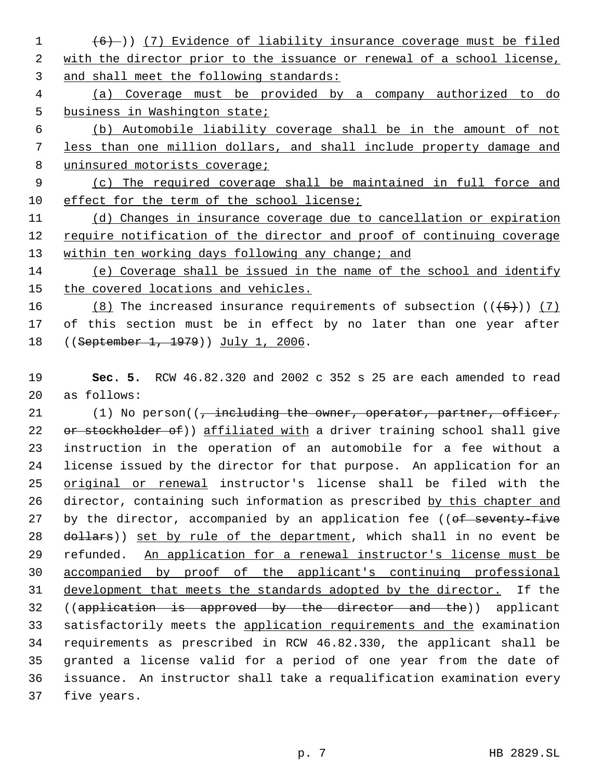(6) )) (7) Evidence of liability insurance coverage must be filed 2 with the director prior to the issuance or renewal of a school license, and shall meet the following standards:

 (a) Coverage must be provided by a company authorized to do business in Washington state;

 (b) Automobile liability coverage shall be in the amount of not less than one million dollars, and shall include property damage and 8 uninsured motorists coverage;

 (c) The required coverage shall be maintained in full force and effect for the term of the school license;

 (d) Changes in insurance coverage due to cancellation or expiration require notification of the director and proof of continuing coverage 13 within ten working days following any change; and

 (e) Coverage shall be issued in the name of the school and identify the covered locations and vehicles.

16 (8) The increased insurance requirements of subsection  $((+5+))$  (7) of this section must be in effect by no later than one year after 18 ((September 1, 1979)) July 1, 2006.

 **Sec. 5.** RCW 46.82.320 and 2002 c 352 s 25 are each amended to read as follows:

21 (1) No person((, including the owner, operator, partner, officer, 22 or stockholder of)) affiliated with a driver training school shall give instruction in the operation of an automobile for a fee without a license issued by the director for that purpose. An application for an original or renewal instructor's license shall be filed with the 26 director, containing such information as prescribed by this chapter and 27 by the director, accompanied by an application fee ((of seventy-five 28 dollars)) set by rule of the department, which shall in no event be refunded. An application for a renewal instructor's license must be accompanied by proof of the applicant's continuing professional development that meets the standards adopted by the director. If the 32 ((application is approved by the director and the)) applicant 33 satisfactorily meets the application requirements and the examination requirements as prescribed in RCW 46.82.330, the applicant shall be granted a license valid for a period of one year from the date of issuance. An instructor shall take a requalification examination every five years.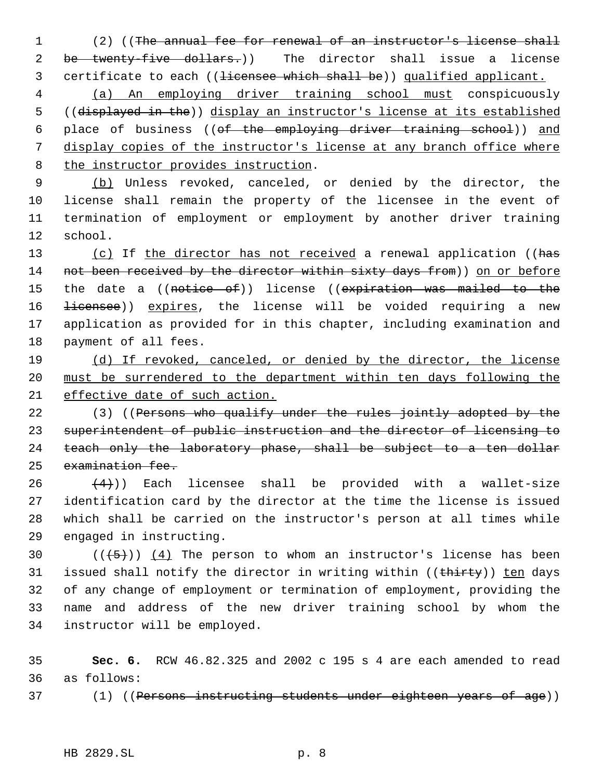(2) ((The annual fee for renewal of an instructor's license shall 2 be twenty-five dollars.)) The director shall issue a license 3 certificate to each ((<del>licensee which shall be</del>)) qualified applicant.

 (a) An employing driver training school must conspicuously ((displayed in the)) display an instructor's license at its established 6 place of business ((of the employing driver training school)) and display copies of the instructor's license at any branch office where the instructor provides instruction.

 (b) Unless revoked, canceled, or denied by the director, the license shall remain the property of the licensee in the event of termination of employment or employment by another driver training school.

13 (c) If the director has not received a renewal application ((has 14 not been received by the director within sixty days from)) on or before 15 the date a ((notice of)) license ((expiration was mailed to the 16 <del>licensee</del>)) expires, the license will be voided requiring a new application as provided for in this chapter, including examination and payment of all fees.

 (d) If revoked, canceled, or denied by the director, the license must be surrendered to the department within ten days following the effective date of such action.

22 (3) ((Persons who qualify under the rules jointly adopted by the superintendent of public instruction and the director of licensing to teach only the laboratory phase, shall be subject to a ten dollar examination fee.

 $(4)$ )) Each licensee shall be provided with a wallet-size identification card by the director at the time the license is issued which shall be carried on the instructor's person at all times while engaged in instructing.

 $((+5))$   $(4)$  The person to whom an instructor's license has been 31 issued shall notify the director in writing within ((thirty)) ten days of any change of employment or termination of employment, providing the name and address of the new driver training school by whom the instructor will be employed.

 **Sec. 6.** RCW 46.82.325 and 2002 c 195 s 4 are each amended to read as follows:

37 (1) ((Persons instructing students under eighteen years of age))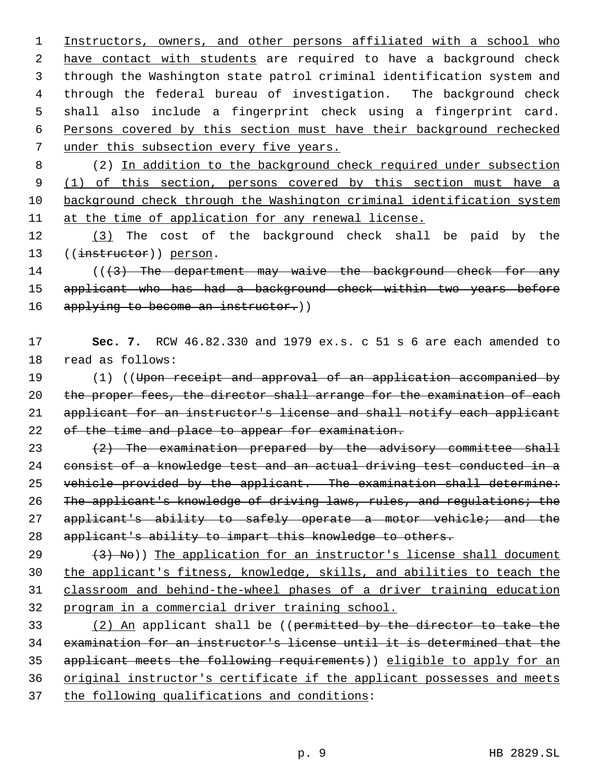Instructors, owners, and other persons affiliated with a school who 2 have contact with students are required to have a background check through the Washington state patrol criminal identification system and through the federal bureau of investigation. The background check shall also include a fingerprint check using a fingerprint card. Persons covered by this section must have their background rechecked under this subsection every five years.

 (2) In addition to the background check required under subsection 9 (1) of this section, persons covered by this section must have a background check through the Washington criminal identification system at the time of application for any renewal license.

 (3) The cost of the background check shall be paid by the 13 ((instructor)) person.

 $((3)$  The department may waive the background check for any 15 applicant who has had a background check within two years before 16 applying to become an instructor.))

# **Sec. 7.** RCW 46.82.330 and 1979 ex.s. c 51 s 6 are each amended to read as follows:

 (1) ((Upon receipt and approval of an application accompanied by 20 the proper fees, the director shall arrange for the examination of each applicant for an instructor's license and shall notify each applicant 22 of the time and place to appear for examination.

23  $(2)$  The examination prepared by the advisory committee shall consist of a knowledge test and an actual driving test conducted in a 25 vehicle provided by the applicant. The examination shall determine: 26 The applicant's knowledge of driving laws, rules, and regulations; the 27 applicant's ability to safely operate a motor vehicle; and the applicant's ability to impart this knowledge to others.

 $(3)$  (3) No)) The application for an instructor's license shall document the applicant's fitness, knowledge, skills, and abilities to teach the classroom and behind-the-wheel phases of a driver training education program in a commercial driver training school.

 (2) An applicant shall be ((permitted by the director to take the examination for an instructor's license until it is determined that the applicant meets the following requirements)) eligible to apply for an original instructor's certificate if the applicant possesses and meets the following qualifications and conditions: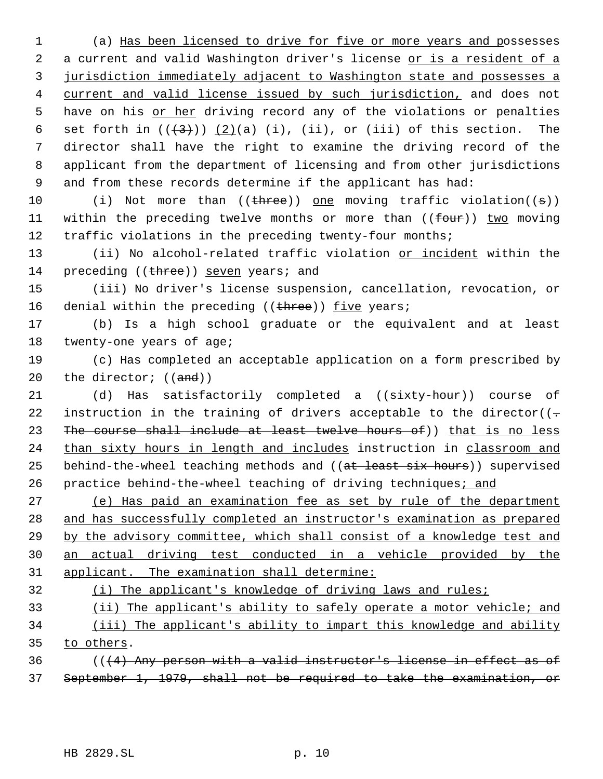(a) Has been licensed to drive for five or more years and possesses 2 a current and valid Washington driver's license or is a resident of a jurisdiction immediately adjacent to Washington state and possesses a current and valid license issued by such jurisdiction, and does not 5 have on his or her driving record any of the violations or penalties 6 set forth in  $((+3+))$   $(2)(a)$  (i), (ii), or (iii) of this section. The director shall have the right to examine the driving record of the applicant from the department of licensing and from other jurisdictions and from these records determine if the applicant has had:

10 (i) Not more than ((three)) one moving traffic violation((s)) 11 within the preceding twelve months or more than  $((f_{out}))$  two moving 12 traffic violations in the preceding twenty-four months;

13 (ii) No alcohol-related traffic violation or incident within the 14 preceding ((three)) seven years; and

15 (iii) No driver's license suspension, cancellation, revocation, or 16 denial within the preceding ((three)) five years;

17 (b) Is a high school graduate or the equivalent and at least 18 twenty-one years of age;

19 (c) Has completed an acceptable application on a form prescribed by 20 the director;  $((and))$ 

21 (d) Has satisfactorily completed a ((sixty-hour)) course of 22 instruction in the training of drivers acceptable to the director( $(-$ 23 The course shall include at least twelve hours of)) that is no less 24 than sixty hours in length and includes instruction in classroom and 25 behind-the-wheel teaching methods and ((at least six hours)) supervised 26 practice behind-the-wheel teaching of driving techniques; and

 (e) Has paid an examination fee as set by rule of the department and has successfully completed an instructor's examination as prepared by the advisory committee, which shall consist of a knowledge test and an actual driving test conducted in a vehicle provided by the applicant. The examination shall determine:

# 32 (i) The applicant's knowledge of driving laws and rules;

33 (ii) The applicant's ability to safely operate a motor vehicle; and 34 (iii) The applicant's ability to impart this knowledge and ability

35 to others.

 $36$  (( $(4)$  Any person with a valid instructor's license in effect as of 37 September 1, 1979, shall not be required to take the examination, or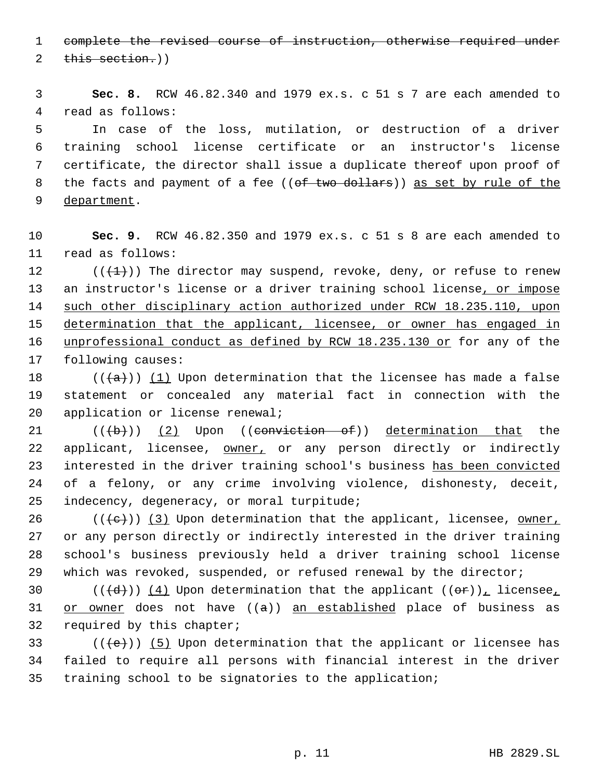complete the revised course of instruction, otherwise required under

2 this section.)

 **Sec. 8.** RCW 46.82.340 and 1979 ex.s. c 51 s 7 are each amended to read as follows:

 In case of the loss, mutilation, or destruction of a driver training school license certificate or an instructor's license certificate, the director shall issue a duplicate thereof upon proof of 8 the facts and payment of a fee ((of two dollars)) as set by rule of the department.

 **Sec. 9.** RCW 46.82.350 and 1979 ex.s. c 51 s 8 are each amended to read as follows:

12  $((\{1\})$  The director may suspend, revoke, deny, or refuse to renew 13 an instructor's license or a driver training school license, or impose 14 such other disciplinary action authorized under RCW 18.235.110, upon 15 determination that the applicant, licensee, or owner has engaged in unprofessional conduct as defined by RCW 18.235.130 or for any of the following causes:

18 ( $(\langle a \rangle)$  (1) Upon determination that the licensee has made a false statement or concealed any material fact in connection with the application or license renewal;

 $((\{b\})$   $(2)$  Upon ((conviction of)) determination that the 22 applicant, licensee, owner, or any person directly or indirectly interested in the driver training school's business has been convicted of a felony, or any crime involving violence, dishonesty, deceit, indecency, degeneracy, or moral turpitude;

26 ( $(\langle e \rangle)$ ) (3) Upon determination that the applicant, licensee, owner, or any person directly or indirectly interested in the driver training school's business previously held a driver training school license which was revoked, suspended, or refused renewal by the director;

30 (( $\left(\frac{d}{d}\right)$ ) (4) Upon determination that the applicant (( $\sigma$ r)), licensee, 31 or owner does not have  $((a))$  an established place of business as required by this chapter;

33 ( $(\langle e \rangle)$ ) (5) Upon determination that the applicant or licensee has failed to require all persons with financial interest in the driver training school to be signatories to the application;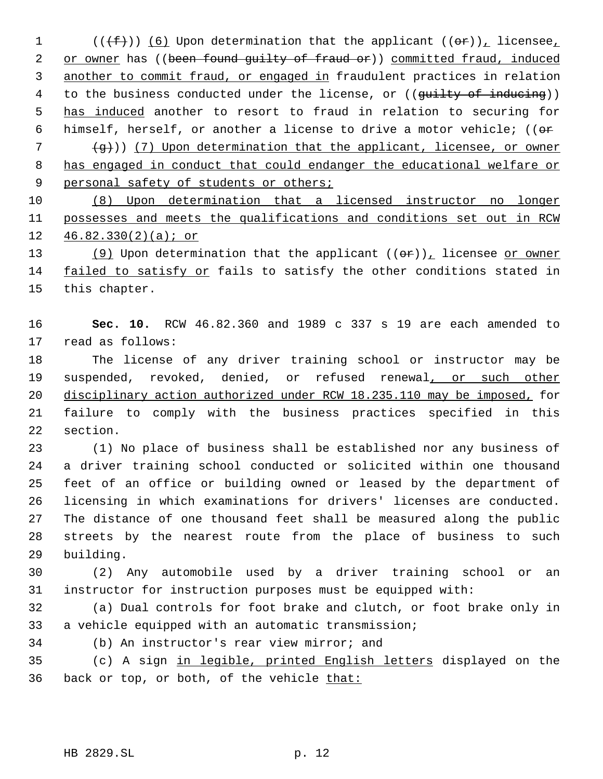$((\text{f}))(6)$  Upon determination that the applicant  $((\text{f}))(f)$  licensee, 2 or owner has ((been found guilty of fraud or)) committed fraud, induced 3 another to commit fraud, or engaged in fraudulent practices in relation 4 to the business conducted under the license, or ((guilty of inducing)) 5 has induced another to resort to fraud in relation to securing for 6 himself, herself, or another a license to drive a motor vehicle; (( $\sigma$ re

 ( $\leftrightarrow$ )) (7) Upon determination that the applicant, licensee, or owner has engaged in conduct that could endanger the educational welfare or 9 personal safety of students or others;

 (8) Upon determination that a licensed instructor no longer possesses and meets the qualifications and conditions set out in RCW 46.82.330(2)(a); or

13 (9) Upon determination that the applicant  $((\theta \hat{r}))_T$  licensee or owner 14 failed to satisfy or fails to satisfy the other conditions stated in this chapter.

 **Sec. 10.** RCW 46.82.360 and 1989 c 337 s 19 are each amended to read as follows:

 The license of any driver training school or instructor may be 19 suspended, revoked, denied, or refused renewal, or such other disciplinary action authorized under RCW 18.235.110 may be imposed, for failure to comply with the business practices specified in this section.

 (1) No place of business shall be established nor any business of a driver training school conducted or solicited within one thousand feet of an office or building owned or leased by the department of licensing in which examinations for drivers' licenses are conducted. The distance of one thousand feet shall be measured along the public streets by the nearest route from the place of business to such building.

 (2) Any automobile used by a driver training school or an instructor for instruction purposes must be equipped with:

 (a) Dual controls for foot brake and clutch, or foot brake only in a vehicle equipped with an automatic transmission;

(b) An instructor's rear view mirror; and

 (c) A sign in legible, printed English letters displayed on the 36 back or top, or both, of the vehicle that: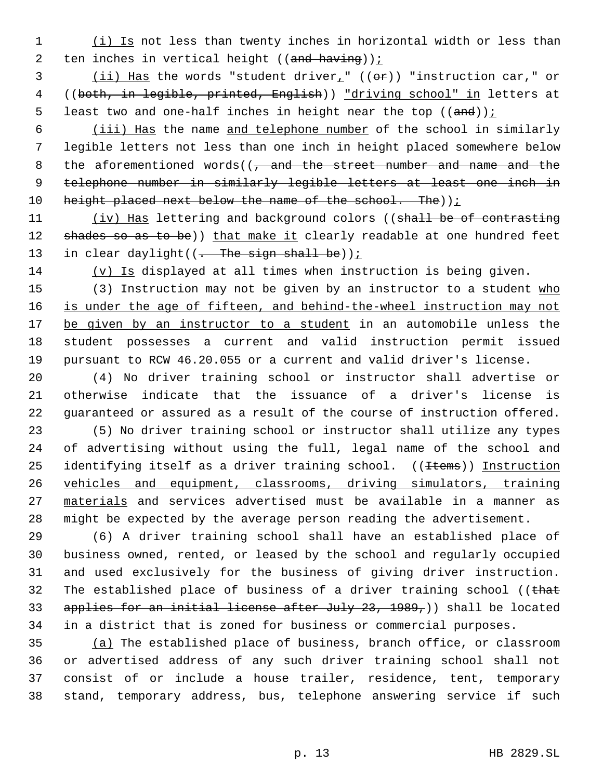1 (i) Is not less than twenty inches in horizontal width or less than 2 ten inches in vertical height (( $\frac{and \; having}{i}$ ) :

3  $(iii)$  Has the words "student driver<sub>1</sub>" (( $\Theta$ r)) "instruction car," or 4 ((both, in legible, printed, English)) "driving school" in letters at 5 least two and one-half inches in height near the top  $((and))$  i

 6 (iii) Has the name and telephone number of the school in similarly 7 legible letters not less than one inch in height placed somewhere below 8 the aforementioned words( $\sqrt{7}$  and the street number and name and the 9 telephone number in similarly legible letters at least one inch in 10 height placed next below the name of the school. The)  $i$ 

11 (iv) Has lettering and background colors ((shall be of contrasting 12 shades so as to be)) that make it clearly readable at one hundred feet 13 in clear daylight( $(-$ The sign shall be));

 $14$  (v) Is displayed at all times when instruction is being given.

15 (3) Instruction may not be given by an instructor to a student who 16 is under the age of fifteen, and behind-the-wheel instruction may not 17 be given by an instructor to a student in an automobile unless the 18 student possesses a current and valid instruction permit issued 19 pursuant to RCW 46.20.055 or a current and valid driver's license.

20 (4) No driver training school or instructor shall advertise or 21 otherwise indicate that the issuance of a driver's license is 22 guaranteed or assured as a result of the course of instruction offered.

 (5) No driver training school or instructor shall utilize any types of advertising without using the full, legal name of the school and 25 identifying itself as a driver training school. ((Items)) Instruction vehicles and equipment, classrooms, driving simulators, training 27 materials and services advertised must be available in a manner as might be expected by the average person reading the advertisement.

 (6) A driver training school shall have an established place of business owned, rented, or leased by the school and regularly occupied and used exclusively for the business of giving driver instruction. 32 The established place of business of a driver training school (( $that$ 33 applies for an initial license after July 23, 1989,)) shall be located in a district that is zoned for business or commercial purposes.

 (a) The established place of business, branch office, or classroom or advertised address of any such driver training school shall not consist of or include a house trailer, residence, tent, temporary stand, temporary address, bus, telephone answering service if such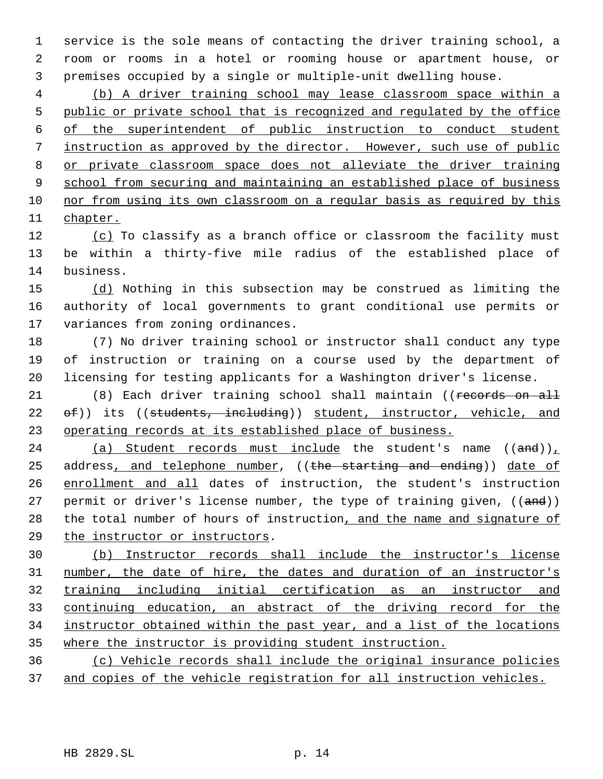service is the sole means of contacting the driver training school, a room or rooms in a hotel or rooming house or apartment house, or premises occupied by a single or multiple-unit dwelling house.

 (b) A driver training school may lease classroom space within a public or private school that is recognized and regulated by the office of the superintendent of public instruction to conduct student instruction as approved by the director. However, such use of public or private classroom space does not alleviate the driver training 9 school from securing and maintaining an established place of business nor from using its own classroom on a regular basis as required by this chapter.

12 (c) To classify as a branch office or classroom the facility must be within a thirty-five mile radius of the established place of business.

 (d) Nothing in this subsection may be construed as limiting the authority of local governments to grant conditional use permits or variances from zoning ordinances.

 (7) No driver training school or instructor shall conduct any type of instruction or training on a course used by the department of licensing for testing applicants for a Washington driver's license.

21 (8) Each driver training school shall maintain ((records on all 22 of)) its ((students, including)) student, instructor, vehicle, and operating records at its established place of business.

24 (a) Student records must include the student's name  $((and))_L$ 25 address, and telephone number, ((the starting and ending)) date of enrollment and all dates of instruction, the student's instruction 27 permit or driver's license number, the type of training given, ((and)) 28 the total number of hours of instruction, and the name and signature of the instructor or instructors.

 (b) Instructor records shall include the instructor's license number, the date of hire, the dates and duration of an instructor's training including initial certification as an instructor and continuing education, an abstract of the driving record for the instructor obtained within the past year, and a list of the locations where the instructor is providing student instruction.

 (c) Vehicle records shall include the original insurance policies 37 and copies of the vehicle registration for all instruction vehicles.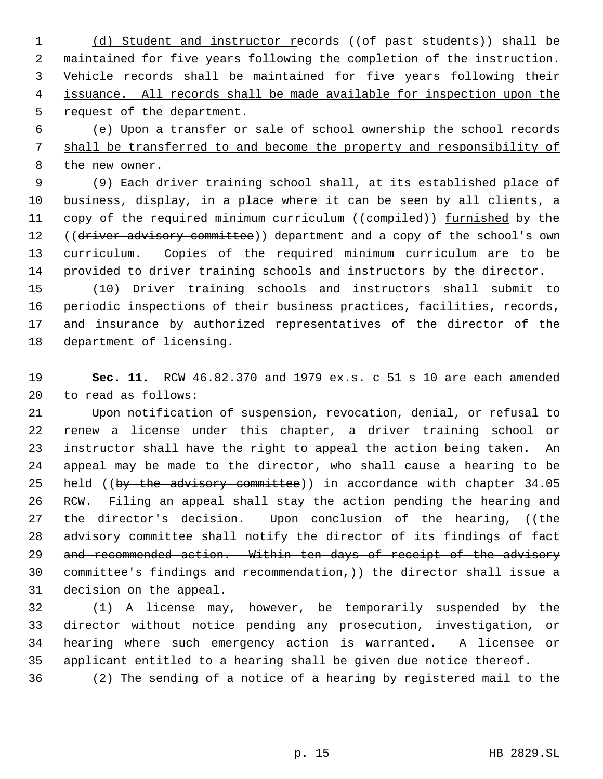1 (d) Student and instructor records ((of past students)) shall be maintained for five years following the completion of the instruction. Vehicle records shall be maintained for five years following their issuance. All records shall be made available for inspection upon the 5 request of the department.

 (e) Upon a transfer or sale of school ownership the school records shall be transferred to and become the property and responsibility of the new owner.

 (9) Each driver training school shall, at its established place of business, display, in a place where it can be seen by all clients, a 11 copy of the required minimum curriculum ((compiled)) furnished by the 12 ((driver advisory committee)) department and a copy of the school's own 13 curriculum. Copies of the required minimum curriculum are to be provided to driver training schools and instructors by the director.

 (10) Driver training schools and instructors shall submit to periodic inspections of their business practices, facilities, records, and insurance by authorized representatives of the director of the department of licensing.

 **Sec. 11.** RCW 46.82.370 and 1979 ex.s. c 51 s 10 are each amended to read as follows:

 Upon notification of suspension, revocation, denial, or refusal to renew a license under this chapter, a driver training school or instructor shall have the right to appeal the action being taken. An appeal may be made to the director, who shall cause a hearing to be 25 held ((by the advisory committee)) in accordance with chapter 34.05 RCW. Filing an appeal shall stay the action pending the hearing and 27 the director's decision. Upon conclusion of the hearing,  $($  (the 28 advisory committee shall notify the director of its findings of fact 29 and recommended action. Within ten days of receipt of the advisory 30 committee's findings and recommendation,) the director shall issue a decision on the appeal.

 (1) A license may, however, be temporarily suspended by the director without notice pending any prosecution, investigation, or hearing where such emergency action is warranted. A licensee or applicant entitled to a hearing shall be given due notice thereof.

(2) The sending of a notice of a hearing by registered mail to the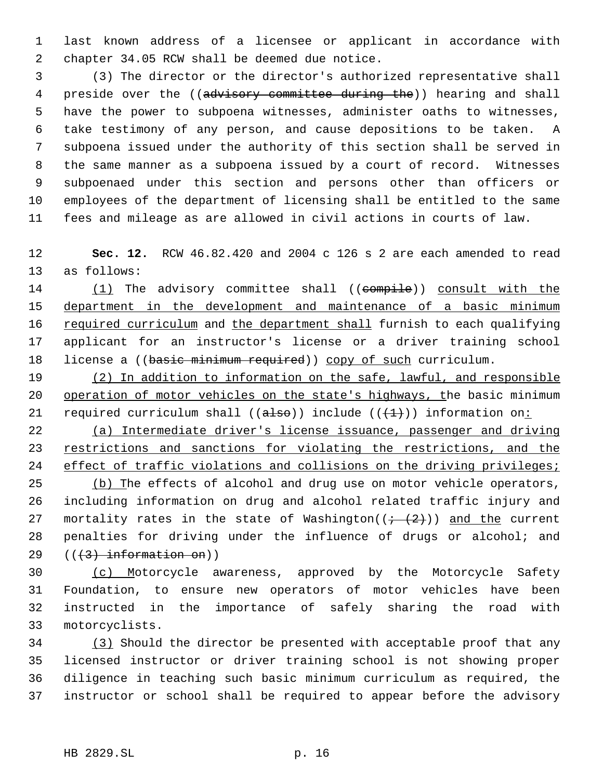last known address of a licensee or applicant in accordance with chapter 34.05 RCW shall be deemed due notice.

 (3) The director or the director's authorized representative shall 4 preside over the ((advisory committee during the)) hearing and shall have the power to subpoena witnesses, administer oaths to witnesses, take testimony of any person, and cause depositions to be taken. A subpoena issued under the authority of this section shall be served in the same manner as a subpoena issued by a court of record. Witnesses subpoenaed under this section and persons other than officers or employees of the department of licensing shall be entitled to the same fees and mileage as are allowed in civil actions in courts of law.

 **Sec. 12.** RCW 46.82.420 and 2004 c 126 s 2 are each amended to read as follows:

14 (1) The advisory committee shall ((compile)) consult with the department in the development and maintenance of a basic minimum 16 required curriculum and the department shall furnish to each qualifying applicant for an instructor's license or a driver training school 18 license a ((basic minimum required)) copy of such curriculum.

 (2) In addition to information on the safe, lawful, and responsible operation of motor vehicles on the state's highways, the basic minimum 21 required curriculum shall (( $a \text{lso}$ )) include (( $\text{ }$ ( $\text{ }$ )) information on:

 (a) Intermediate driver's license issuance, passenger and driving 23 restrictions and sanctions for violating the restrictions, and the 24 effect of traffic violations and collisions on the driving privileges;

25 (b) The effects of alcohol and drug use on motor vehicle operators, including information on drug and alcohol related traffic injury and 27 mortality rates in the state of Washington( $(+$   $(2)$ )) and the current penalties for driving under the influence of drugs or alcohol; and 29  $((+3)$  information on))

 (c) Motorcycle awareness, approved by the Motorcycle Safety Foundation, to ensure new operators of motor vehicles have been instructed in the importance of safely sharing the road with motorcyclists.

 (3) Should the director be presented with acceptable proof that any licensed instructor or driver training school is not showing proper diligence in teaching such basic minimum curriculum as required, the instructor or school shall be required to appear before the advisory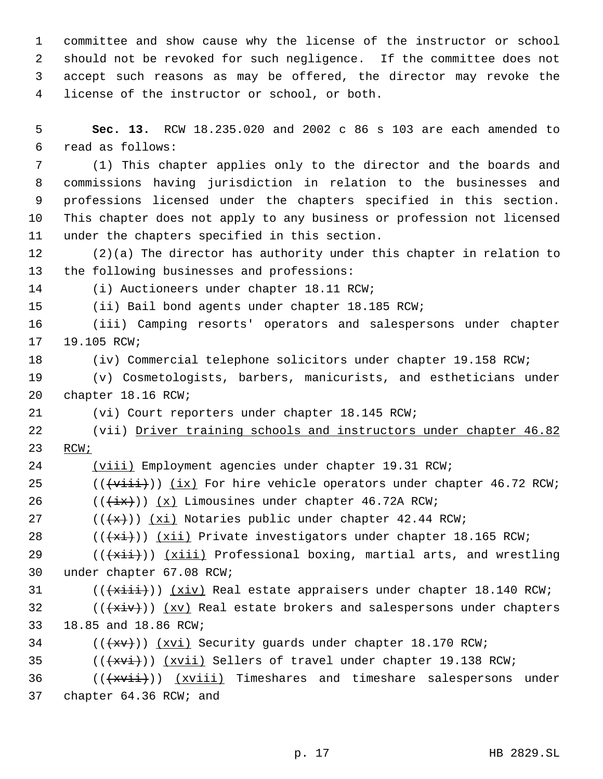committee and show cause why the license of the instructor or school should not be revoked for such negligence. If the committee does not accept such reasons as may be offered, the director may revoke the license of the instructor or school, or both.

 **Sec. 13.** RCW 18.235.020 and 2002 c 86 s 103 are each amended to read as follows:

 (1) This chapter applies only to the director and the boards and commissions having jurisdiction in relation to the businesses and professions licensed under the chapters specified in this section. This chapter does not apply to any business or profession not licensed under the chapters specified in this section.

 (2)(a) The director has authority under this chapter in relation to the following businesses and professions:

(i) Auctioneers under chapter 18.11 RCW;

(ii) Bail bond agents under chapter 18.185 RCW;

 (iii) Camping resorts' operators and salespersons under chapter 19.105 RCW;

(iv) Commercial telephone solicitors under chapter 19.158 RCW;

 (v) Cosmetologists, barbers, manicurists, and estheticians under chapter 18.16 RCW;

(vi) Court reporters under chapter 18.145 RCW;

 (vii) Driver training schools and instructors under chapter 46.82 RCW;

(viii) Employment agencies under chapter 19.31 RCW;

(( $\overleftrightarrow{\text{viii}}$ )) (ix) For hire vehicle operators under chapter 46.72 RCW;

26  $((\overleftrightarrow{ix})) (x)$  Limousines under chapter 46.72A RCW;

27  $((+x))$   $(xi)$  Notaries public under chapter 42.44 RCW;

28  $((+x\text{if}))$  (xii) Private investigators under chapter 18.165 RCW;

29 ( $(\overrightarrow{xii})$ ) ( $xiii$ ) Professional boxing, martial arts, and wrestling under chapter 67.08 RCW;

(( $\overleftrightarrow{\text{xiii}}$ )) ( $\overline{\text{xi}}$ ) Real estate appraisers under chapter 18.140 RCW;

32 ( $(\overrightarrow{xxv})$ ) (xv) Real estate brokers and salespersons under chapters 18.85 and 18.86 RCW;

- (( $\overline{+x}$ ))  $\overline{+x}$  Security guards under chapter 18.170 RCW;
- 35  $((+x\overline{v_1}))$   $(x\overline{v_1})$  Sellers of travel under chapter 19.138 RCW;
- (( $\overleftrightarrow{(+xvii)})$   $(xviii)$  Timeshares and timeshare salespersons under chapter 64.36 RCW; and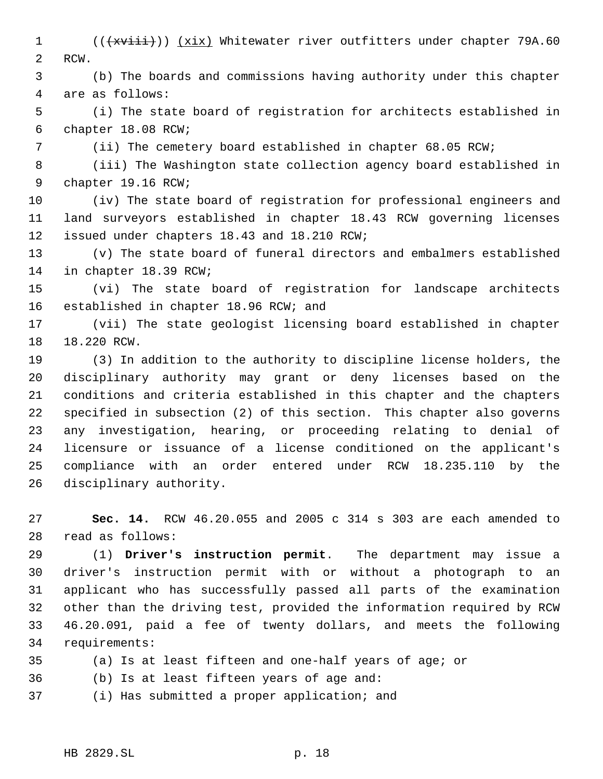1 (( $\overline{+x\text{visit}}$ )) (xix) Whitewater river outfitters under chapter 79A.60 RCW.

 (b) The boards and commissions having authority under this chapter are as follows:

 (i) The state board of registration for architects established in chapter 18.08 RCW;

(ii) The cemetery board established in chapter 68.05 RCW;

 (iii) The Washington state collection agency board established in chapter 19.16 RCW;

 (iv) The state board of registration for professional engineers and land surveyors established in chapter 18.43 RCW governing licenses issued under chapters 18.43 and 18.210 RCW;

 (v) The state board of funeral directors and embalmers established in chapter 18.39 RCW;

 (vi) The state board of registration for landscape architects established in chapter 18.96 RCW; and

 (vii) The state geologist licensing board established in chapter 18.220 RCW.

 (3) In addition to the authority to discipline license holders, the disciplinary authority may grant or deny licenses based on the conditions and criteria established in this chapter and the chapters specified in subsection (2) of this section. This chapter also governs any investigation, hearing, or proceeding relating to denial of licensure or issuance of a license conditioned on the applicant's compliance with an order entered under RCW 18.235.110 by the disciplinary authority.

 **Sec. 14.** RCW 46.20.055 and 2005 c 314 s 303 are each amended to read as follows:

 (1) **Driver's instruction permit**. The department may issue a driver's instruction permit with or without a photograph to an applicant who has successfully passed all parts of the examination other than the driving test, provided the information required by RCW 46.20.091, paid a fee of twenty dollars, and meets the following requirements:

- (a) Is at least fifteen and one-half years of age; or
- (b) Is at least fifteen years of age and:
- (i) Has submitted a proper application; and